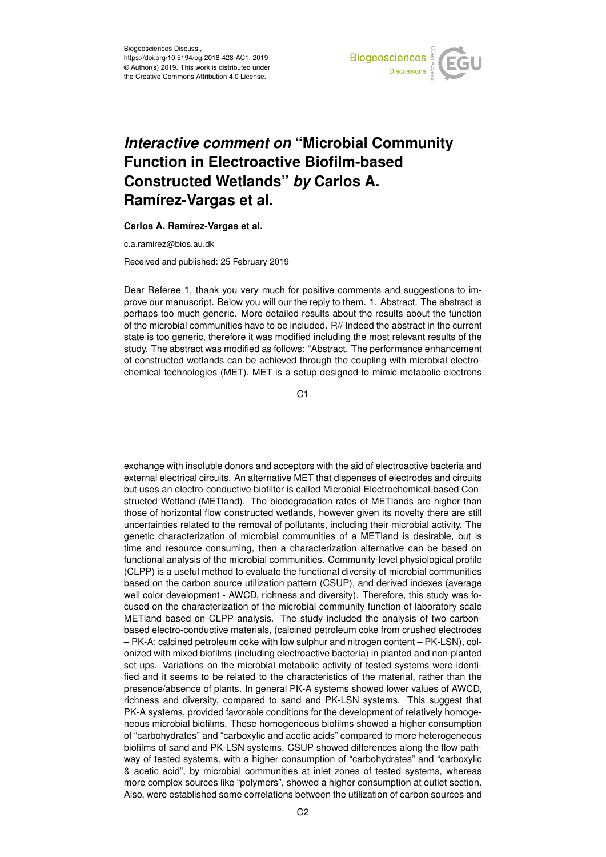

## *Interactive comment on* **"Microbial Community Function in Electroactive Biofilm-based Constructed Wetlands"** *by* **Carlos A. Ramírez-Vargas et al.**

**Carlos A. Ramírez-Vargas et al.**

c.a.ramirez@bios.au.dk

Received and published: 25 February 2019

Dear Referee 1, thank you very much for positive comments and suggestions to improve our manuscript. Below you will our the reply to them. 1. Abstract. The abstract is perhaps too much generic. More detailed results about the results about the function of the microbial communities have to be included. R// Indeed the abstract in the current state is too generic, therefore it was modified including the most relevant results of the study. The abstract was modified as follows: "Abstract. The performance enhancement of constructed wetlands can be achieved through the coupling with microbial electrochemical technologies (MET). MET is a setup designed to mimic metabolic electrons

C<sub>1</sub>

exchange with insoluble donors and acceptors with the aid of electroactive bacteria and external electrical circuits. An alternative MET that dispenses of electrodes and circuits but uses an electro-conductive biofilter is called Microbial Electrochemical-based Constructed Wetland (METland). The biodegradation rates of METlands are higher than those of horizontal flow constructed wetlands, however given its novelty there are still uncertainties related to the removal of pollutants, including their microbial activity. The genetic characterization of microbial communities of a METland is desirable, but is time and resource consuming, then a characterization alternative can be based on functional analysis of the microbial communities. Community-level physiological profile (CLPP) is a useful method to evaluate the functional diversity of microbial communities based on the carbon source utilization pattern (CSUP), and derived indexes (average well color development - AWCD, richness and diversity). Therefore, this study was focused on the characterization of the microbial community function of laboratory scale METland based on CLPP analysis. The study included the analysis of two carbonbased electro-conductive materials, (calcined petroleum coke from crushed electrodes – PK-A; calcined petroleum coke with low sulphur and nitrogen content – PK-LSN), colonized with mixed biofilms (including electroactive bacteria) in planted and non-planted set-ups. Variations on the microbial metabolic activity of tested systems were identified and it seems to be related to the characteristics of the material, rather than the presence/absence of plants. In general PK-A systems showed lower values of AWCD, richness and diversity, compared to sand and PK-LSN systems. This suggest that PK-A systems, provided favorable conditions for the development of relatively homogeneous microbial biofilms. These homogeneous biofilms showed a higher consumption of "carbohydrates" and "carboxylic and acetic acids" compared to more heterogeneous biofilms of sand and PK-LSN systems. CSUP showed differences along the flow pathway of tested systems, with a higher consumption of "carbohydrates" and "carboxylic & acetic acid", by microbial communities at inlet zones of tested systems, whereas more complex sources like "polymers", showed a higher consumption at outlet section. Also, were established some correlations between the utilization of carbon sources and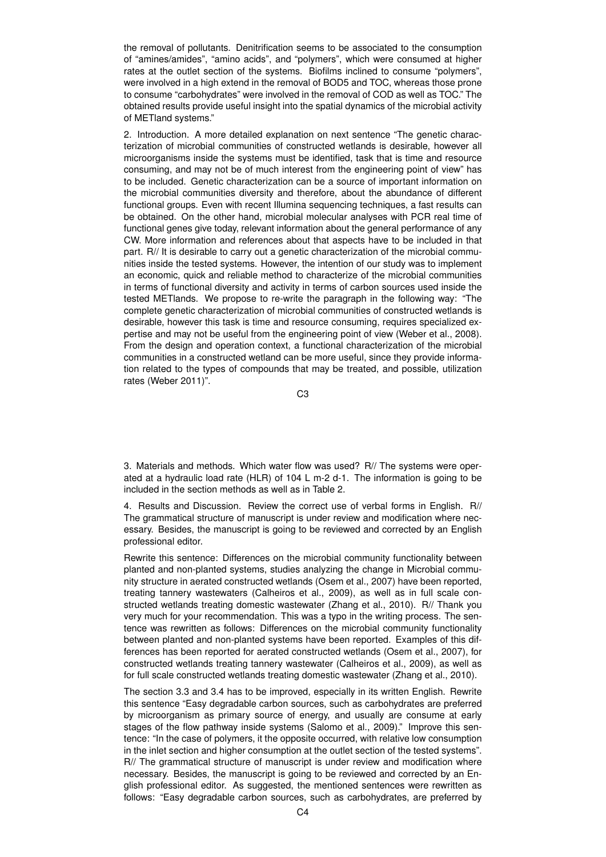the removal of pollutants. Denitrification seems to be associated to the consumption of "amines/amides", "amino acids", and "polymers", which were consumed at higher rates at the outlet section of the systems. Biofilms inclined to consume "polymers", were involved in a high extend in the removal of BOD5 and TOC, whereas those prone to consume "carbohydrates" were involved in the removal of COD as well as TOC." The obtained results provide useful insight into the spatial dynamics of the microbial activity of METland systems."

2. Introduction. A more detailed explanation on next sentence "The genetic characterization of microbial communities of constructed wetlands is desirable, however all microorganisms inside the systems must be identified, task that is time and resource consuming, and may not be of much interest from the engineering point of view" has to be included. Genetic characterization can be a source of important information on the microbial communities diversity and therefore, about the abundance of different functional groups. Even with recent Illumina sequencing techniques, a fast results can be obtained. On the other hand, microbial molecular analyses with PCR real time of functional genes give today, relevant information about the general performance of any CW. More information and references about that aspects have to be included in that part. R// It is desirable to carry out a genetic characterization of the microbial communities inside the tested systems. However, the intention of our study was to implement an economic, quick and reliable method to characterize of the microbial communities in terms of functional diversity and activity in terms of carbon sources used inside the tested METlands. We propose to re-write the paragraph in the following way: "The complete genetic characterization of microbial communities of constructed wetlands is desirable, however this task is time and resource consuming, requires specialized expertise and may not be useful from the engineering point of view (Weber et al., 2008). From the design and operation context, a functional characterization of the microbial communities in a constructed wetland can be more useful, since they provide information related to the types of compounds that may be treated, and possible, utilization rates (Weber 2011)".

C3

3. Materials and methods. Which water flow was used? R// The systems were operated at a hydraulic load rate (HLR) of 104 L m-2 d-1. The information is going to be included in the section methods as well as in Table 2.

4. Results and Discussion. Review the correct use of verbal forms in English. R// The grammatical structure of manuscript is under review and modification where necessary. Besides, the manuscript is going to be reviewed and corrected by an English professional editor.

Rewrite this sentence: Differences on the microbial community functionality between planted and non-planted systems, studies analyzing the change in Microbial community structure in aerated constructed wetlands (Osem et al., 2007) have been reported, treating tannery wastewaters (Calheiros et al., 2009), as well as in full scale constructed wetlands treating domestic wastewater (Zhang et al., 2010). R// Thank you very much for your recommendation. This was a typo in the writing process. The sentence was rewritten as follows: Differences on the microbial community functionality between planted and non-planted systems have been reported. Examples of this differences has been reported for aerated constructed wetlands (Osem et al., 2007), for constructed wetlands treating tannery wastewater (Calheiros et al., 2009), as well as for full scale constructed wetlands treating domestic wastewater (Zhang et al., 2010).

The section 3.3 and 3.4 has to be improved, especially in its written English. Rewrite this sentence "Easy degradable carbon sources, such as carbohydrates are preferred by microorganism as primary source of energy, and usually are consume at early stages of the flow pathway inside systems (Salomo et al., 2009)." Improve this sentence: "In the case of polymers, it the opposite occurred, with relative low consumption in the inlet section and higher consumption at the outlet section of the tested systems". R// The grammatical structure of manuscript is under review and modification where necessary. Besides, the manuscript is going to be reviewed and corrected by an English professional editor. As suggested, the mentioned sentences were rewritten as follows: "Easy degradable carbon sources, such as carbohydrates, are preferred by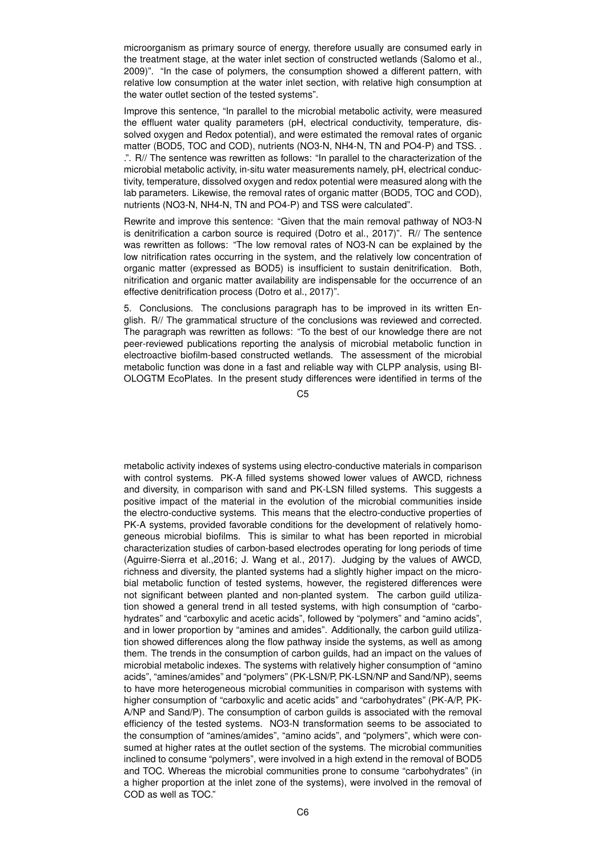microorganism as primary source of energy, therefore usually are consumed early in the treatment stage, at the water inlet section of constructed wetlands (Salomo et al., 2009)". "In the case of polymers, the consumption showed a different pattern, with relative low consumption at the water inlet section, with relative high consumption at the water outlet section of the tested systems".

Improve this sentence, "In parallel to the microbial metabolic activity, were measured the effluent water quality parameters (pH, electrical conductivity, temperature, dissolved oxygen and Redox potential), and were estimated the removal rates of organic matter (BOD5, TOC and COD), nutrients (NO3-N, NH4-N, TN and PO4-P) and TSS. . .". R// The sentence was rewritten as follows: "In parallel to the characterization of the microbial metabolic activity, in-situ water measurements namely, pH, electrical conductivity, temperature, dissolved oxygen and redox potential were measured along with the lab parameters. Likewise, the removal rates of organic matter (BOD5, TOC and COD), nutrients (NO3-N, NH4-N, TN and PO4-P) and TSS were calculated".

Rewrite and improve this sentence: "Given that the main removal pathway of NO3-N is denitrification a carbon source is required (Dotro et al., 2017)". R// The sentence was rewritten as follows: "The low removal rates of NO3-N can be explained by the low nitrification rates occurring in the system, and the relatively low concentration of organic matter (expressed as BOD5) is insufficient to sustain denitrification. Both, nitrification and organic matter availability are indispensable for the occurrence of an effective denitrification process (Dotro et al., 2017)".

5. Conclusions. The conclusions paragraph has to be improved in its written English. R// The grammatical structure of the conclusions was reviewed and corrected. The paragraph was rewritten as follows: "To the best of our knowledge there are not peer-reviewed publications reporting the analysis of microbial metabolic function in electroactive biofilm-based constructed wetlands. The assessment of the microbial metabolic function was done in a fast and reliable way with CLPP analysis, using BI-OLOGTM EcoPlates. In the present study differences were identified in terms of the

 $C<sub>5</sub>$ 

metabolic activity indexes of systems using electro-conductive materials in comparison with control systems. PK-A filled systems showed lower values of AWCD, richness and diversity, in comparison with sand and PK-LSN filled systems. This suggests a positive impact of the material in the evolution of the microbial communities inside the electro-conductive systems. This means that the electro-conductive properties of PK-A systems, provided favorable conditions for the development of relatively homogeneous microbial biofilms. This is similar to what has been reported in microbial characterization studies of carbon-based electrodes operating for long periods of time (Aguirre-Sierra et al.,2016; J. Wang et al., 2017). Judging by the values of AWCD, richness and diversity, the planted systems had a slightly higher impact on the microbial metabolic function of tested systems, however, the registered differences were not significant between planted and non-planted system. The carbon guild utilization showed a general trend in all tested systems, with high consumption of "carbohydrates" and "carboxylic and acetic acids", followed by "polymers" and "amino acids", and in lower proportion by "amines and amides". Additionally, the carbon guild utilization showed differences along the flow pathway inside the systems, as well as among them. The trends in the consumption of carbon guilds, had an impact on the values of microbial metabolic indexes. The systems with relatively higher consumption of "amino acids", "amines/amides" and "polymers" (PK-LSN/P, PK-LSN/NP and Sand/NP), seems to have more heterogeneous microbial communities in comparison with systems with higher consumption of "carboxylic and acetic acids" and "carbohydrates" (PK-A/P, PK-A/NP and Sand/P). The consumption of carbon guilds is associated with the removal efficiency of the tested systems. NO3-N transformation seems to be associated to the consumption of "amines/amides", "amino acids", and "polymers", which were consumed at higher rates at the outlet section of the systems. The microbial communities inclined to consume "polymers", were involved in a high extend in the removal of BOD5 and TOC. Whereas the microbial communities prone to consume "carbohydrates" (in a higher proportion at the inlet zone of the systems), were involved in the removal of COD as well as TOC."